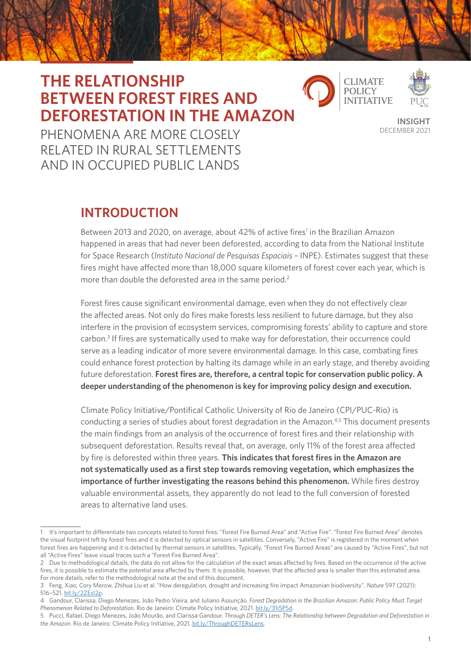# **THE RELATIONSHIP BETWEEN FOREST FIRES AND DEFORESTATION IN THE AMAZON**



**INSIGHT** DECEMBER 2021

PHENOMENA ARE MORE CLOSELY RELATED IN RURAL SETTLEMENTS AND IN OCCUPIED PUBLIC LANDS

## **INTRODUCTION**

Between 2013 and 2020, on average, about 42% of active fires<sup>1</sup> in the Brazilian Amazon happened in areas that had never been deforested, according to data from the National Institute for Space Research (*Instituto Nacional de Pesquisas Espaciais –* INPE). Estimates suggest that these fires might have affected more than 18,000 square kilometers of forest cover each year, which is more than double the deforested area in the same period.<sup>2</sup>

Forest fires cause significant environmental damage, even when they do not effectively clear the affected areas. Not only do fires make forests less resilient to future damage, but they also interfere in the provision of ecosystem services, compromising forests' ability to capture and store carbon.<sup>3</sup> If fires are systematically used to make way for deforestation, their occurrence could serve as a leading indicator of more severe environmental damage. In this case, combating fires could enhance forest protection by halting its damage while in an early stage, and thereby avoiding future deforestation. **Forest fires are, therefore, a central topic for conservation public policy. A deeper understanding of the phenomenon is key for improving policy design and execution.**

Climate Policy Initiative/Pontifical Catholic University of Rio de Janeiro (CPI/PUC-Rio) is conducting a series of studies about forest degradation in the Amazon.<sup>4,5</sup> This document presents the main findings from an analysis of the occurrence of forest fires and their relationship with subsequent deforestation. Results reveal that, on average, only 11% of the forest area affected by fire is deforested within three years. **This indicates that forest fires in the Amazon are not systematically used as a first step towards removing vegetation, which emphasizes the importance of further investigating the reasons behind this phenomenon.** While fires destroy valuable environmental assets, they apparently do not lead to the full conversion of forested areas to alternative land uses.

<sup>1</sup> It's important to differentiate two concepts related to forest fires: "Forest Fire Burned Area" and "Active Fire". "Forest Fire Burned Area" denotes the visual footprint left by forest fires and it is detected by optical sensors in satellites. Conversely, "Active Fire" is registered in the moment when forest fires are happening and it is detected by thermal sensors in satellites. Typically, "Forest Fire Burned Areas" are caused by "Active Fires", but not all "Active Fires" leave visual traces such a "Forest Fire Burned Area".

<sup>2</sup> Due to methodological details, the data do not allow for the calculation of the exact areas affected by fires. Based on the occurrence of the active fires, it is possible to estimate the *potential* area affected by them. It is possible, however, that the affected area is smaller than this estimated area. For more details, refer to the methodological note at the end of this document.

<sup>3</sup> Feng, Xiao, Cory Merow, Zhihua Liu et al. "How deregulation, drought and increasing fire impact Amazonian biodiversity". *Nature* 597 (2021): 516–521. [bit.ly/2ZEsI2p.](http://bit.ly/2ZEsI2p)

<sup>4</sup> Gandour, Clarissa, Diego Menezes, João Pedro Vieira, and Juliano Assunção. *Forest Degradation in the Brazilian Amazon: Public Policy Must Target Phenomenon Related to Deforestation*. Rio de Janeiro: Climate Policy Initiative, 2021. [bit.ly/31i5P5d.](http://bit.ly/31i5P5d)

<sup>5</sup> Pucci, Rafael, Diego Menezes, João Mourão, and Clarissa Gandour. *Through DETER's Lens: The Relationship between Degradation and Deforestation in the Amazon*. Rio de Janeiro: Climate Policy Initiative, 2021. [bit.ly/ThroughDETERsLens](http://bit.ly/ThroughDETERsLens).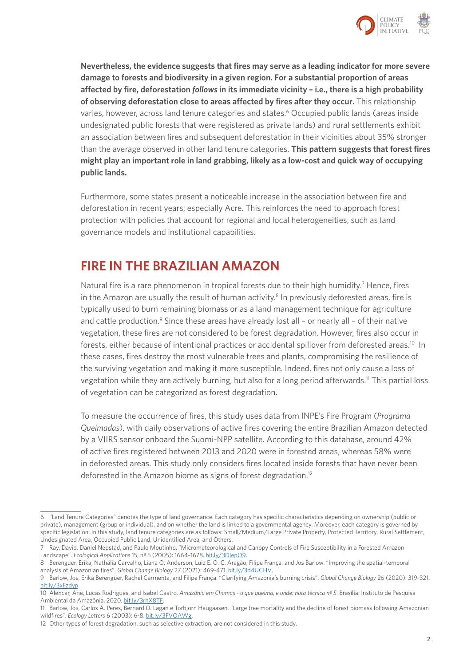

**Nevertheless, the evidence suggests that fires may serve as a leading indicator for more severe damage to forests and biodiversity in a given region. For a substantial proportion of areas affected by fire, deforestation** *follows* **in its immediate vicinity – i.e., there is a high probability of observing deforestation close to areas affected by fires after they occur.** This relationship varies, however, across land tenure categories and states.<sup>6</sup> Occupied public lands (areas inside undesignated public forests that were registered as private lands) and rural settlements exhibit an association between fires and subsequent deforestation in their vicinities about 35% stronger than the average observed in other land tenure categories. **This pattern suggests that forest fires might play an important role in land grabbing, likely as a low-cost and quick way of occupying public lands.**

Furthermore, some states present a noticeable increase in the association between fire and deforestation in recent years, especially Acre. This reinforces the need to approach forest protection with policies that account for regional and local heterogeneities, such as land governance models and institutional capabilities.

### **FIRE IN THE BRAZILIAN AMAZON**

Natural fire is a rare phenomenon in tropical forests due to their high humidity.<sup>7</sup> Hence, fires in the Amazon are usually the result of human activity.<sup>8</sup> In previously deforested areas, fire is typically used to burn remaining biomass or as a land management technique for agriculture and cattle production.<sup>9</sup> Since these areas have already lost all - or nearly all - of their native vegetation, these fires are not considered to be forest degradation. However, fires also occur in forests, either because of intentional practices or accidental spillover from deforested areas.<sup>10</sup> In these cases, fires destroy the most vulnerable trees and plants, compromising the resilience of the surviving vegetation and making it more susceptible. Indeed, fires not only cause a loss of vegetation while they are actively burning, but also for a long period afterwards.11 This partial loss of vegetation can be categorized as forest degradation.

To measure the occurrence of fires, this study uses data from INPE's Fire Program (*Programa Queimadas*), with daily observations of active fires covering the entire Brazilian Amazon detected by a VIIRS sensor onboard the Suomi-NPP satellite. According to this database, around 42% of active fires registered between 2013 and 2020 were in forested areas, whereas 58% were in deforested areas. This study only considers fires located inside forests that have never been deforested in the Amazon biome as signs of forest degradation.12

<sup>6</sup> "Land Tenure Categories" denotes the type of land governance. Each category has specific characteristics depending on ownership (public or private), management (group or individual), and on whether the land is linked to a governmental agency. Moreover, each category is governed by specific legislation. In this study, land tenure categories are as follows: Small/Medium/Large Private Property, Protected Territory, Rural Settlement, Undesignated Area, Occupied Public Land, Unidentified Area, and Others.

<sup>7</sup> Ray, David, Daniel Nepstad, and Paulo Moutinho. "Micrometeorological and Canopy Controls of Fire Susceptibility in a Forested Amazon Landscape". *Ecological Applications* 15, nº 5 (2005): 1664–1678. [bit.ly/3DlepO9.](http://bit.ly/3DlepO9)

<sup>8</sup> Berenguer, Erika, Nathália Carvalho, Liana O. Anderson, Luiz E. O. C. Aragão, Filipe França, and Jos Barlow. "Improving the spatial-temporal analysis of Amazonian fires". *Global Change Biology* 27 (2021): 469-471. [bit.ly/3d4UCHV](http://bit.ly/3d4UCHV).

<sup>9</sup> Barlow, Jos, Erika Berenguer, Rachel Carmenta, and Filipe França. "Clarifying Amazonia's burning crisis". *Global Change Biology* 26 (2020): 319-321. [bit.ly/3xFzdyp](http://bit.ly/3xFzdyp).

<sup>10</sup> Alencar, Ane, Lucas Rodrigues, and Isabel Castro. *Amazônia em Chamas - o que queima, e onde: nota técnica nº 5*. Brasília: Instituto de Pesquisa Ambiental da Amazônia, 2020. [bit.ly/3rhX8TF.](http://bit.ly/3rhX8TF)

<sup>11</sup> Barlow, Jos, Carlos A. Peres, Bernard O. Lagan e Torbjorn Haugaasen. "Large tree mortality and the decline of forest biomass following Amazonian wildfires". *Ecology Letters* 6 (2003): 6-8. [bit.ly/3FVOAWg](http://bit.ly/3FVOAWg).

<sup>12</sup> Other types of forest degradation, such as selective extraction, are not considered in this study.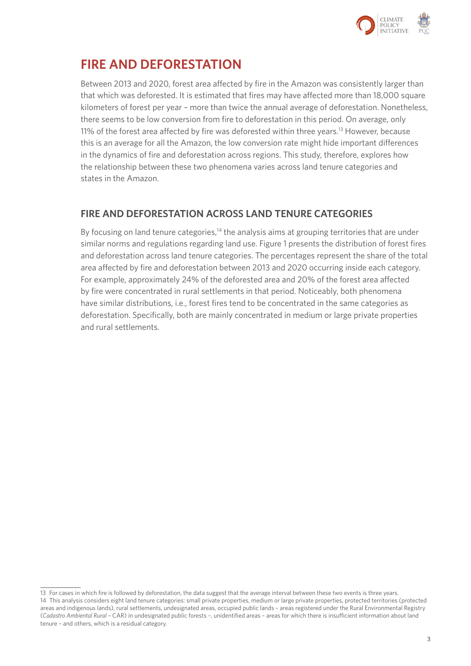

## **FIRE AND DEFORESTATION**

Between 2013 and 2020, forest area affected by fire in the Amazon was consistently larger than that which was deforested. It is estimated that fires may have affected more than 18,000 square kilometers of forest per year – more than twice the annual average of deforestation. Nonetheless, there seems to be low conversion from fire to deforestation in this period. On average, only 11% of the forest area affected by fire was deforested within three years.<sup>13</sup> However, because this is an average for all the Amazon, the low conversion rate might hide important differences in the dynamics of fire and deforestation across regions. This study, therefore, explores how the relationship between these two phenomena varies across land tenure categories and states in the Amazon.

### **FIRE AND DEFORESTATION ACROSS LAND TENURE CATEGORIES**

By focusing on land tenure categories,<sup>14</sup> the analysis aims at grouping territories that are under similar norms and regulations regarding land use. Figure 1 presents the distribution of forest fires and deforestation across land tenure categories. The percentages represent the share of the total area affected by fire and deforestation between 2013 and 2020 occurring inside each category. For example, approximately 24% of the deforested area and 20% of the forest area affected by fire were concentrated in rural settlements in that period. Noticeably, both phenomena have similar distributions, i.e., forest fires tend to be concentrated in the same categories as deforestation. Specifically, both are mainly concentrated in medium or large private properties and rural settlements.

<sup>13</sup> For cases in which fire is followed by deforestation, the data suggest that the average interval between these two events is three years. 14 This analysis considers eight land tenure categories: small private properties, medium or large private properties, protected territories (protected areas and indigenous lands), rural settlements, undesignated areas, occupied public lands – areas registered under the Rural Environmental Registry (*Cadastro Ambiental Rural –* CAR) in undesignated public forests –, unidentified areas – areas for which there is insufficient information about land tenure – and others, which is a residual category.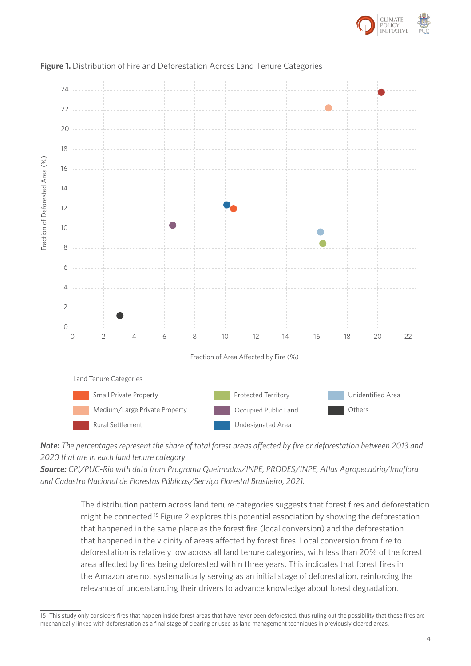



### **Figure 1.** Distribution of Fire and Deforestation Across Land Tenure Categories **Figure 1.** Distribution of Fire and Deforestation Across Land Tenure Categories

*Note: The percentages represent the share of total forest areas affected by fire or deforestation between 2013 and Note: The percentages represent the share of total forces areas affected by fire or deforestation better*<br>2020 that are in each land tenure category.

*Source: CPI/PUC-Rio with data from Programa Queimadas/INPE, PRODES/INPE, Atlas Agropecuário/Imaflora 2013 and 2020 that are in each land tenure category.*  and Cadastro Nacional de Florestas Públicas/Serviço Florestal Brasileiro, 2021. *Cadastro Nacional de Florestas Públicas/Serviço Florestal Brasileiro, 2021.* 

> The distribution pattern across land tenure categories suggests that forest fires and deforestation might be connected.15 Figure 2 explores this potential association by showing the deforestation that happened in the same place as the forest fire (local conversion) and the deforestation that happened in the vicinity of areas affected by forest fires. Local conversion from fire to deforestation is relatively low across all land tenure categories, with less than 20% of the forest area affected by fires being deforested within three years. This indicates that forest fires in the Amazon are not systematically serving as an initial stage of deforestation, reinforcing the relevance of understanding their drivers to advance knowledge about forest degradation.

<sup>15</sup> This study only considers fires that happen inside forest areas that have never been deforested, thus ruling out the possibility that these fires are mechanically linked with deforestation as a final stage of clearing or used as land management techniques in previously cleared areas.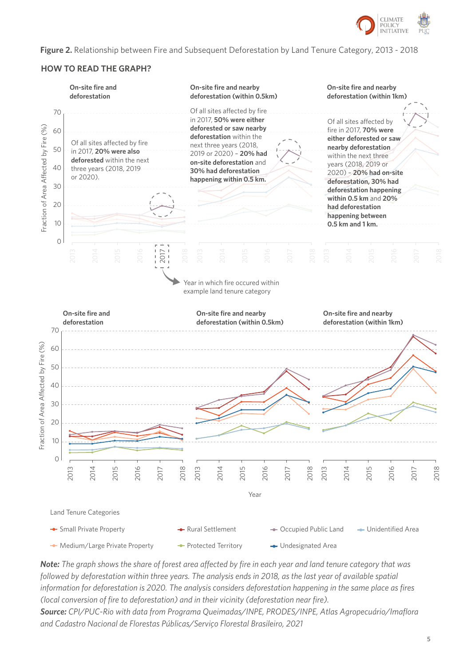

**Figure 2.** Relationship between Fire and Subsequent Deforestation by Land Tenure Category, 2013 - 2018 **Figure 2.** Relationship Between Fire and Subsequent Deforestation by Land Tenure Category, 2013 - 2018

### **HOW TO READ THE GRAPH?**



Note: The graph shows the share of forest area affected by fire in each year and land tenure category that was followed by deforestation within three years. The analysis ends in 2018, as the last year of available spatial information for deforestation is 2020. The analysis considers deforestation happening in the same place as fires (local conversion of fire to deforestation) and in their vicinity (deforestation near fire). Source: CPI/PUC-Rio with data from Programa Queimadas/INPE, PRODES/INPE, Atlas Agropecuário/Imaflora *and Cadastro Nacional de Florestas Públicas/Serviço Florestal Brasileiro, 2021*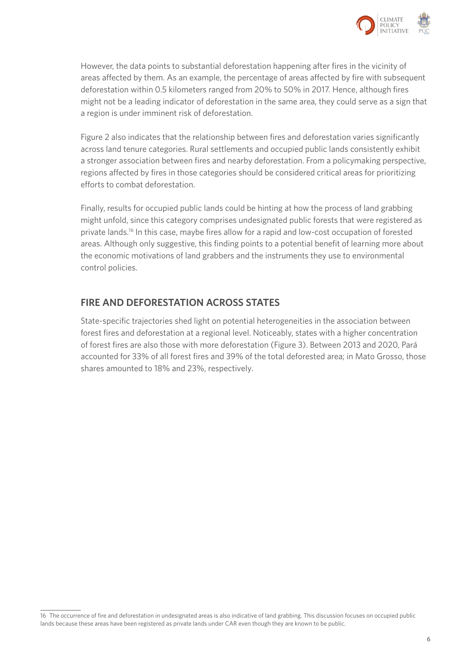

However, the data points to substantial deforestation happening after fires in the vicinity of areas affected by them. As an example, the percentage of areas affected by fire with subsequent deforestation within 0.5 kilometers ranged from 20% to 50% in 2017. Hence, although fires might not be a leading indicator of deforestation in the same area, they could serve as a sign that a region is under imminent risk of deforestation.

Figure 2 also indicates that the relationship between fires and deforestation varies significantly across land tenure categories. Rural settlements and occupied public lands consistently exhibit a stronger association between fires and nearby deforestation. From a policymaking perspective, regions affected by fires in those categories should be considered critical areas for prioritizing efforts to combat deforestation.

Finally, results for occupied public lands could be hinting at how the process of land grabbing might unfold, since this category comprises undesignated public forests that were registered as private lands.16 In this case, maybe fires allow for a rapid and low-cost occupation of forested areas. Although only suggestive, this finding points to a potential benefit of learning more about the economic motivations of land grabbers and the instruments they use to environmental control policies.

### **FIRE AND DEFORESTATION ACROSS STATES**

State-specific trajectories shed light on potential heterogeneities in the association between forest fires and deforestation at a regional level. Noticeably, states with a higher concentration of forest fires are also those with more deforestation (Figure 3). Between 2013 and 2020, Pará accounted for 33% of all forest fires and 39% of the total deforested area; in Mato Grosso, those shares amounted to 18% and 23%, respectively.

<sup>16</sup> The occurrence of fire and deforestation in undesignated areas is also indicative of land grabbing. This discussion focuses on occupied public lands because these areas have been registered as private lands under CAR even though they are known to be public.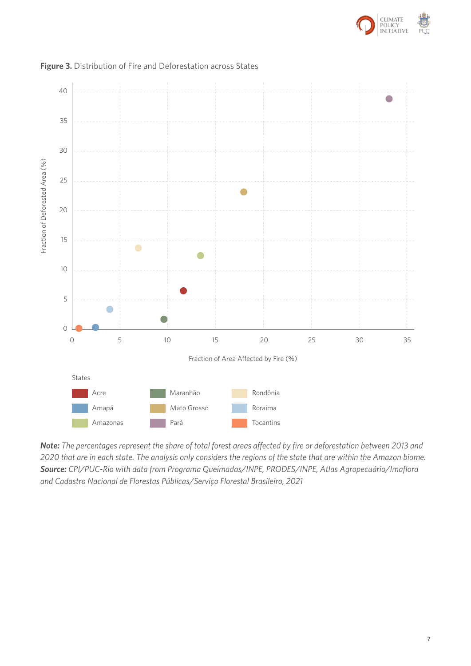



### **Figure 3.** Distribution of Fire and Deforestation across States **Figure 3.** Distribution of Fire and Deforestation across States

**Note:** The percentages represent the share of total forest areas affected by fire or deforestation between 2013 and 2020 that are in each state. The analysis only considers the regions of the state that are within the Amazon biome. Source: CPI/PUC-Rio with data from Programa Queimadas/INPE, PRODES/INPE, Atlas Agropecuário/Imaflora *and Cadastro Nacional de Florestas Públicas/Serviço Florestal Brasileiro, 2021 Cadastro Nacional de Florestas Públicas/Serviço Florestal Brasileiro, 2021*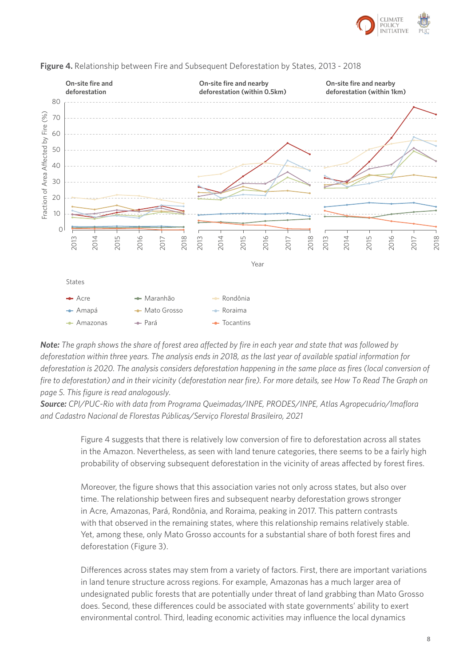



**Figure 4.** Relationship between Fire and Subsequent Deforestation by States, 2013 - 2018 **Figure 4.** Relationship between Fire and Subsequent Deforestation by States, 2013 - 2018

**Note:** The graph shows the share of forest area affected by fire in each year and state that was followed by deforestation within three years. The analysis ends in 2018, as the last year of available spatial information for deforestation is 2020. The analysis considers deforestation happening in the same place as fires (local conversion of fire to deforestation) and in their vicinity (deforestation near fire). For more details, see How To Read The Graph on *page 5. This figure is read analogously. page 5. This figure is read analogously.* 

Source: CPI/PUC-Rio with data from Programa Queimadas/INPE, PRODES/INPE, Atlas Agropecuário/Imaflora *and Cadastro Nacional de Florestas Públicas/Serviço Florestal Brasileiro, 2021 and Cadastro Nacional de Florestas Públicas/Serviço Florestal Brasileiro, 2021*

> Figure 4 suggests that there is relatively low conversion of fire to deforestation across all states in the Amazon. Nevertheless, as seen with land tenure categories, there seems to be a fairly high probability of observing subsequent deforestation in the vicinity of areas affected by forest fires.

Moreover, the figure shows that this association varies not only across states, but also over time. The relationship between fires and subsequent nearby deforestation grows stronger in Acre, Amazonas, Pará, Rondônia, and Roraima, peaking in 2017. This pattern contrasts with that observed in the remaining states, where this relationship remains relatively stable. Yet, among these, only Mato Grosso accounts for a substantial share of both forest fires and deforestation (Figure 3).

Differences across states may stem from a variety of factors. First, there are important variations in land tenure structure across regions. For example, Amazonas has a much larger area of undesignated public forests that are potentially under threat of land grabbing than Mato Grosso does. Second, these differences could be associated with state governments' ability to exert environmental control. Third, leading economic activities may influence the local dynamics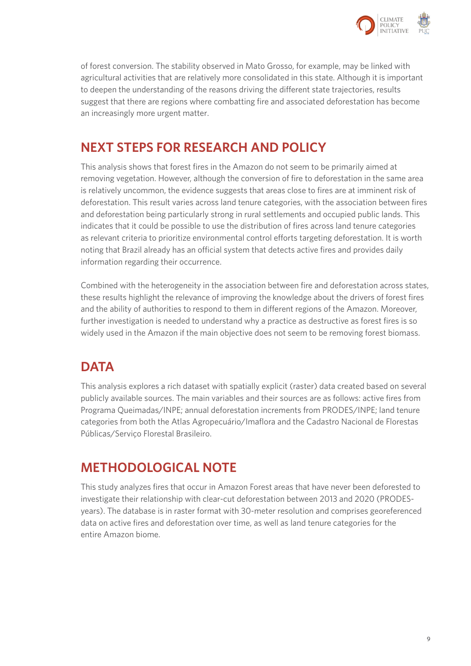

of forest conversion. The stability observed in Mato Grosso, for example, may be linked with agricultural activities that are relatively more consolidated in this state. Although it is important to deepen the understanding of the reasons driving the different state trajectories, results suggest that there are regions where combatting fire and associated deforestation has become an increasingly more urgent matter.

## **NEXT STEPS FOR RESEARCH AND POLICY**

This analysis shows that forest fires in the Amazon do not seem to be primarily aimed at removing vegetation. However, although the conversion of fire to deforestation in the same area is relatively uncommon, the evidence suggests that areas close to fires are at imminent risk of deforestation. This result varies across land tenure categories, with the association between fires and deforestation being particularly strong in rural settlements and occupied public lands. This indicates that it could be possible to use the distribution of fires across land tenure categories as relevant criteria to prioritize environmental control efforts targeting deforestation. It is worth noting that Brazil already has an official system that detects active fires and provides daily information regarding their occurrence.

Combined with the heterogeneity in the association between fire and deforestation across states, these results highlight the relevance of improving the knowledge about the drivers of forest fires and the ability of authorities to respond to them in different regions of the Amazon. Moreover, further investigation is needed to understand why a practice as destructive as forest fires is so widely used in the Amazon if the main objective does not seem to be removing forest biomass.

# **DATA**

This analysis explores a rich dataset with spatially explicit (raster) data created based on several publicly available sources. The main variables and their sources are as follows: active fires from Programa Queimadas/INPE; annual deforestation increments from PRODES/INPE; land tenure categories from both the Atlas Agropecuário/Imaflora and the Cadastro Nacional de Florestas Públicas/Serviço Florestal Brasileiro.

# **METHODOLOGICAL NOTE**

This study analyzes fires that occur in Amazon Forest areas that have never been deforested to investigate their relationship with clear-cut deforestation between 2013 and 2020 (PRODESyears). The database is in raster format with 30-meter resolution and comprises georeferenced data on active fires and deforestation over time, as well as land tenure categories for the entire Amazon biome.